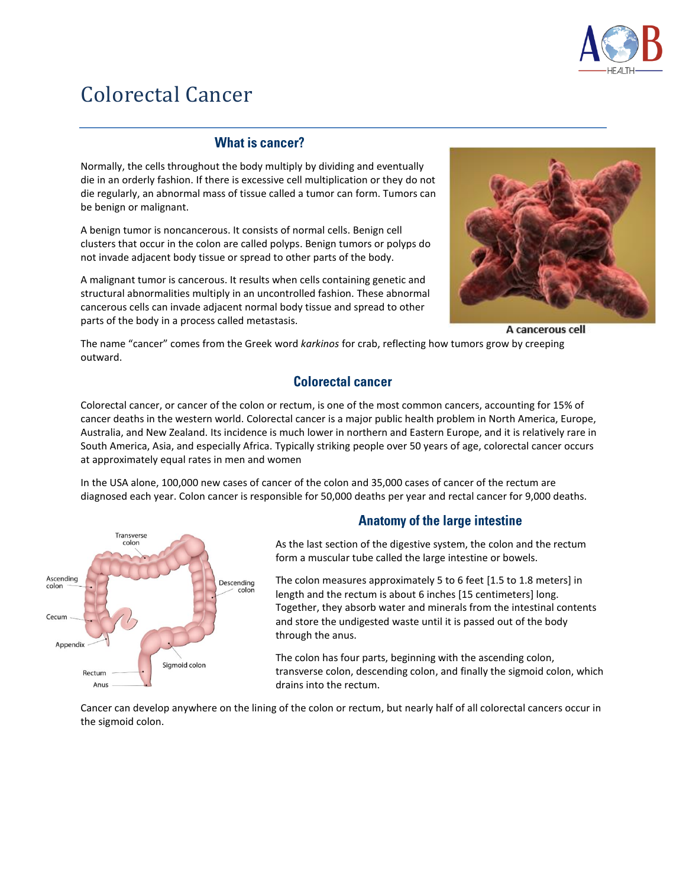

# Colorectal Cancer

## **What is cancer?**

Normally, the cells throughout the body multiply by dividing and eventually die in an orderly fashion. If there is excessive cell multiplication or they do not die regularly, an abnormal mass of tissue called a tumor can form. Tumors can be benign or malignant.

A benign tumor is noncancerous. It consists of normal cells. Benign cell clusters that occur in the colon are called polyps. Benign tumors or polyps do not invade adjacent body tissue or spread to other parts of the body.

A malignant tumor is cancerous. It results when cells containing genetic and structural abnormalities multiply in an uncontrolled fashion. These abnormal cancerous cells can invade adjacent normal body tissue and spread to other parts of the body in a process called metastasis.



A cancerous cell

The name "cancer" comes from the Greek word *karkinos* for crab, reflecting how tumors grow by creeping outward.

# **Colorectal cancer**

Colorectal cancer, or cancer of the colon or rectum, is one of the most common cancers, accounting for 15% of cancer deaths in the western world. Colorectal cancer is a major public health problem in North America, Europe, Australia, and New Zealand. Its incidence is much lower in northern and Eastern Europe, and it is relatively rare in South America, Asia, and especially Africa. Typically striking people over 50 years of age, colorectal cancer occurs at approximately equal rates in men and women

In the USA alone, 100,000 new cases of cancer of the colon and 35,000 cases of cancer of the rectum are diagnosed each year. Colon cancer is responsible for 50,000 deaths per year and rectal cancer for 9,000 deaths.



# **Anatomy of the large intestine**

As the last section of the digestive system, the colon and the rectum form a muscular tube called the large intestine or bowels.

The colon measures approximately 5 to 6 feet [1.5 to 1.8 meters] in length and the rectum is about 6 inches [15 centimeters] long. Together, they absorb water and minerals from the intestinal contents and store the undigested waste until it is passed out of the body through the anus.

The colon has four parts, beginning with the ascending colon, transverse colon, descending colon, and finally the sigmoid colon, which drains into the rectum.

Cancer can develop anywhere on the lining of the colon or rectum, but nearly half of all colorectal cancers occur in the sigmoid colon.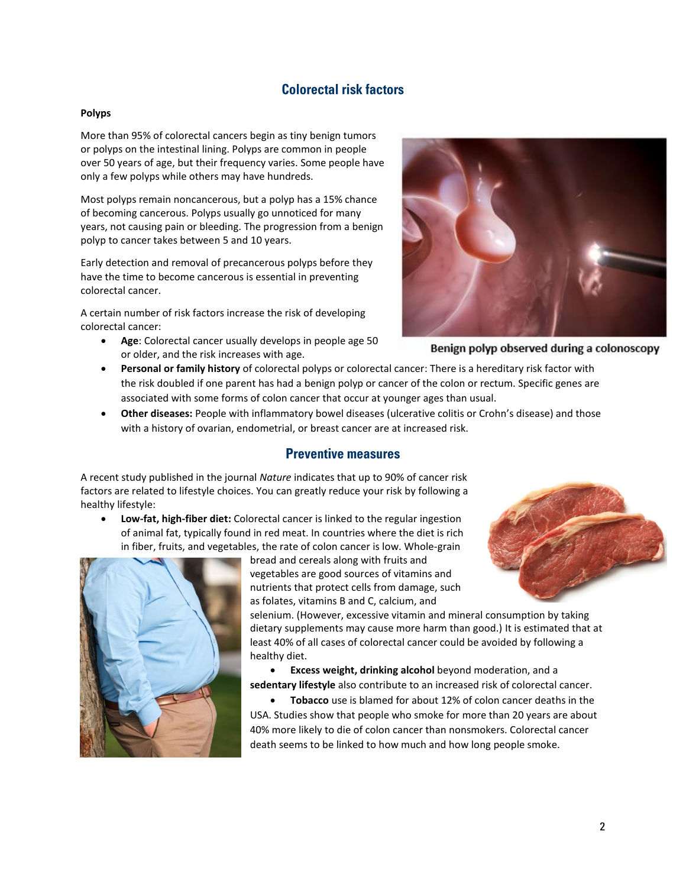## **Colorectal risk factors**

#### **Polyps**

More than 95% of colorectal cancers begin as tiny benign tumors or polyps on the intestinal lining. Polyps are common in people over 50 years of age, but their frequency varies. Some people have only a few polyps while others may have hundreds.

Most polyps remain noncancerous, but a polyp has a 15% chance of becoming cancerous. Polyps usually go unnoticed for many years, not causing pain or bleeding. The progression from a benign polyp to cancer takes between 5 and 10 years.

Early detection and removal of precancerous polyps before they have the time to become cancerous is essential in preventing colorectal cancer.

A certain number of risk factors increase the risk of developing colorectal cancer:

• **Age**: Colorectal cancer usually develops in people age 50 or older, and the risk increases with age.



Benign polyp observed during a colonoscopy

- **Personal or family history** of colorectal polyps or colorectal cancer: There is a hereditary risk factor with the risk doubled if one parent has had a benign polyp or cancer of the colon or rectum. Specific genes are associated with some forms of colon cancer that occur at younger ages than usual.
- **Other diseases:** People with inflammatory bowel diseases (ulcerative colitis or Crohn's disease) and those with a history of ovarian, endometrial, or breast cancer are at increased risk.

#### **Preventive measures**

A recent study published in the journal *Nature* indicates that up to 90% of cancer risk factors are related to lifestyle choices. You can greatly reduce your risk by following a healthy lifestyle:

• **Low-fat, high-fiber diet:** Colorectal cancer is linked to the regular ingestion of animal fat, typically found in red meat. In countries where the diet is rich in fiber, fruits, and vegetables, the rate of colon cancer is low. Whole-grain



bread and cereals along with fruits and vegetables are good sources of vitamins and nutrients that protect cells from damage, such as folates, vitamins B and C, calcium, and

selenium. (However, excessive vitamin and mineral consumption by taking dietary supplements may cause more harm than good.) It is estimated that at least 40% of all cases of colorectal cancer could be avoided by following a healthy diet.

• **Excess weight, drinking alcohol** beyond moderation, and a **sedentary lifestyle** also contribute to an increased risk of colorectal cancer.

• **Tobacco** use is blamed for about 12% of colon cancer deaths in the USA. Studies show that people who smoke for more than 20 years are about 40% more likely to die of colon cancer than nonsmokers. Colorectal cancer death seems to be linked to how much and how long people smoke.

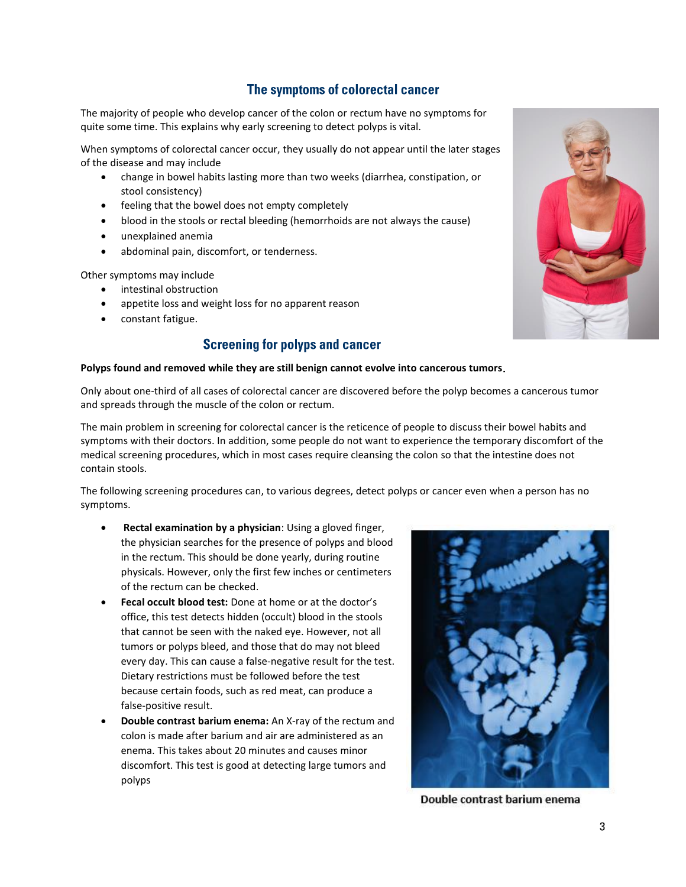## The symptoms of colorectal cancer

The majority of people who develop cancer of the colon or rectum have no symptoms for quite some time. This explains why early screening to detect polyps is vital.

When symptoms of colorectal cancer occur, they usually do not appear until the later stages of the disease and may include

- change in bowel habits lasting more than two weeks (diarrhea, constipation, or stool consistency)
- feeling that the bowel does not empty completely
- blood in the stools or rectal bleeding (hemorrhoids are not always the cause)
- unexplained anemia
- abdominal pain, discomfort, or tenderness.

Other symptoms may include

- intestinal obstruction
- appetite loss and weight loss for no apparent reason
- constant fatigue.

# **Screening for polyps and cancer**

#### **Polyps found and removed while they are still benign cannot evolve into cancerous tumors**

Only about one-third of all cases of colorectal cancer are discovered before the polyp becomes a cancerous tumor and spreads through the muscle of the colon or rectum.

The main problem in screening for colorectal cancer is the reticence of people to discuss their bowel habits and symptoms with their doctors. In addition, some people do not want to experience the temporary discomfort of the medical screening procedures, which in most cases require cleansing the colon so that the intestine does not contain stools.

The following screening procedures can, to various degrees, detect polyps or cancer even when a person has no symptoms.

- **Rectal examination by a physician**: Using a gloved finger, the physician searches for the presence of polyps and blood in the rectum. This should be done yearly, during routine physicals. However, only the first few inches or centimeters of the rectum can be checked.
- **Fecal occult blood test:** Done at home or at the doctor's office, this test detects hidden (occult) blood in the stools that cannot be seen with the naked eye. However, not all tumors or polyps bleed, and those that do may not bleed every day. This can cause a false-negative result for the test. Dietary restrictions must be followed before the test because certain foods, such as red meat, can produce a false-positive result.
- **Double contrast barium enema:** An X-ray of the rectum and colon is made after barium and air are administered as an enema. This takes about 20 minutes and causes minor discomfort. This test is good at detecting large tumors and polyps



Double contrast barium enema